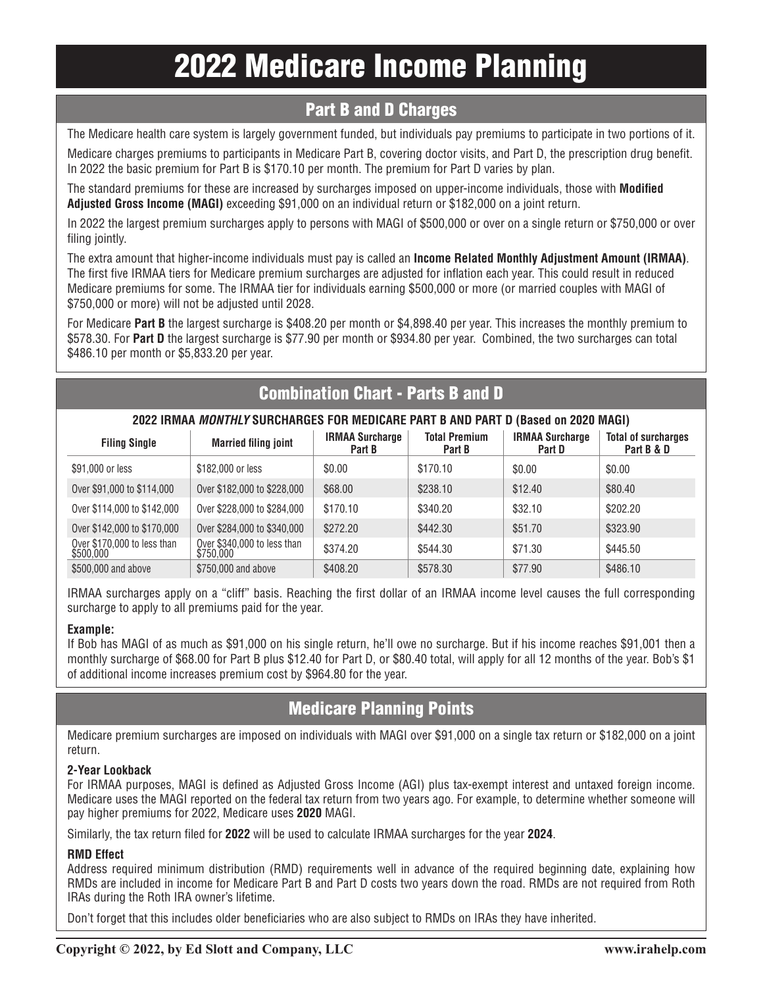# 2022 Medicare Income Planning

### Part B and D Charges

The Medicare health care system is largely government funded, but individuals pay premiums to participate in two portions of it.

Medicare charges premiums to participants in Medicare Part B, covering doctor visits, and Part D, the prescription drug benefit. In 2022 the basic premium for Part B is \$170.10 per month. The premium for Part D varies by plan.

The standard premiums for these are increased by surcharges imposed on upper-income individuals, those with **Modified Adjusted Gross Income (MAGI)** exceeding \$91,000 on an individual return or \$182,000 on a joint return.

In 2022 the largest premium surcharges apply to persons with MAGI of \$500,000 or over on a single return or \$750,000 or over filing jointly.

The extra amount that higher-income individuals must pay is called an **Income Related Monthly Adjustment Amount (IRMAA)**. The first five IRMAA tiers for Medicare premium surcharges are adjusted for inflation each year. This could result in reduced Medicare premiums for some. The IRMAA tier for individuals earning \$500,000 or more (or married couples with MAGI of \$750,000 or more) will not be adjusted until 2028.

For Medicare **Part B** the largest surcharge is \$408.20 per month or \$4,898.40 per year. This increases the monthly premium to \$578.30. For **Part D** the largest surcharge is \$77.90 per month or \$934.80 per year. Combined, the two surcharges can total \$486.10 per month or \$5,833.20 per year.

# Combination Chart - Parts B and D

#### **2022 IRMAA** *MONTHLY* **SURCHARGES FOR MEDICARE PART B AND PART D (Based on 2020 MAGI)**

| <b>Filing Single</b>                     | <b>Married filing joint</b>              | <b>IRMAA Surcharge</b><br>Part B | <b>Total Premium</b><br>Part B | <b>IRMAA Surcharge</b><br>Part D | <b>Total of surcharges</b><br>Part B & D |
|------------------------------------------|------------------------------------------|----------------------------------|--------------------------------|----------------------------------|------------------------------------------|
| \$91,000 or less                         | \$182,000 or less                        | \$0.00                           | \$170.10                       | \$0.00                           | \$0.00                                   |
| Over \$91,000 to \$114,000               | Over \$182,000 to \$228,000              | \$68,00                          | \$238.10                       | \$12.40                          | \$80.40                                  |
| Over \$114,000 to \$142,000              | Over \$228,000 to \$284,000              | \$170.10                         | \$340.20                       | \$32.10                          | \$202.20                                 |
| Over \$142,000 to \$170,000              | Over \$284,000 to \$340,000              | \$272.20                         | \$442.30                       | \$51.70                          | \$323.90                                 |
| Over \$170,000 to less than<br>\$500,000 | Over \$340,000 to less than<br>\$750,000 | \$374.20                         | \$544.30                       | \$71.30                          | \$445.50                                 |
| \$500,000 and above                      | \$750,000 and above                      | \$408.20                         | \$578.30                       | \$77.90                          | \$486.10                                 |

IRMAA surcharges apply on a "cliff" basis. Reaching the first dollar of an IRMAA income level causes the full corresponding surcharge to apply to all premiums paid for the year.

#### **Example:**

If Bob has MAGI of as much as \$91,000 on his single return, he'll owe no surcharge. But if his income reaches \$91,001 then a monthly surcharge of \$68.00 for Part B plus \$12.40 for Part D, or \$80.40 total, will apply for all 12 months of the year. Bob's \$1 of additional income increases premium cost by \$964.80 for the year.

# Medicare Planning Points

Medicare premium surcharges are imposed on individuals with MAGI over \$91,000 on a single tax return or \$182,000 on a joint return.

#### **2-Year Lookback**

For IRMAA purposes, MAGI is defined as Adjusted Gross Income (AGI) plus tax-exempt interest and untaxed foreign income. Medicare uses the MAGI reported on the federal tax return from two years ago. For example, to determine whether someone will pay higher premiums for 2022, Medicare uses **2020** MAGI.

Similarly, the tax return filed for **2022** will be used to calculate IRMAA surcharges for the year **2024**.

#### **RMD Effect**

Address required minimum distribution (RMD) requirements well in advance of the required beginning date, explaining how RMDs are included in income for Medicare Part B and Part D costs two years down the road. RMDs are not required from Roth IRAs during the Roth IRA owner's lifetime.

Don't forget that this includes older beneficiaries who are also subject to RMDs on IRAs they have inherited.